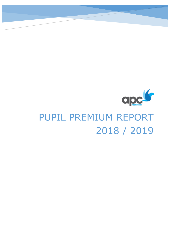

# PUPIL PREMIUM REPORT 2018 / 2019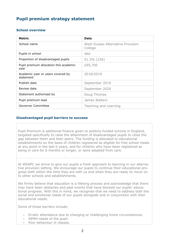## **Pupil premium strategy statement**

#### **School overview**

| <b>Metric</b>                                  | Data                                                |
|------------------------------------------------|-----------------------------------------------------|
| School name                                    | <b>West Sussex Alternative Provision</b><br>College |
| Pupils in school                               | 460                                                 |
| Proportion of disadvantaged pupils             | 51.3% (236)                                         |
| Pupil premium allocation this academic<br>year | £95,700                                             |
| Academic year or years covered by<br>statement | 2018/2019                                           |
| Publish date                                   | September 2019                                      |
| Review date                                    | September 2020                                      |
| Statement authorised by                        | Doug Thomas                                         |
| Pupil premium lead                             | James Walters                                       |
| Governor Committee                             | Teaching and Learning                               |

#### **Disadvantaged pupil barriers to success**

Pupil Premium is additional finance given to publicly funded schools in England, targeted specifically to raise the attainment of disadvantaged pupils to close the gap between them and their peers. The funding is allocated to educational establishments on the basis of children registered as eligible for free school meals at any point in the last 6 years, and for children who have been registered as being in care for 6 months or longer, or were adopted from care.

At WSAPC we strive to give our pupils a fresh approach to learning in our alternative provision setting. We encourage our pupils to continue their educational progress both within the time they are with us and when they are ready to move on to other schools and establishments.

We firmly believe that education is a lifelong process and acknowledge that there may have been obstacles and past events that have blocked our pupils' educational progress. With this in mind, we recognise that we need to address both the social and emotional needs of our pupils alongside and in conjunction with their educational needs.

Some of those barriers include:

- Erratic attendance due to changing or challenging home circumstances.
- SEMH needs of the pupil.
- Poor behaviour in classes.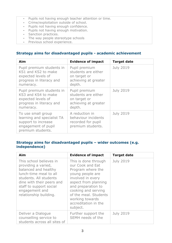- Pupils not having enough teacher attention or time.
- Crime/exploitation outside of school.
- Pupils not having enough confidence.
- Pupils not having enough motivation.
- Sanction practices.
- The way people stereotype schools
- Previous school experience.

## **Strategy aims for disadvantaged pupils - academic achievement**

| Aim                                                                                                                 | <b>Evidence of impact</b>                                                              | <b>Target date</b> |
|---------------------------------------------------------------------------------------------------------------------|----------------------------------------------------------------------------------------|--------------------|
| Pupil premium students in<br>KS1 and KS2 to make<br>expected levels of<br>progress in literacy and<br>numeracy.     | Pupil premium<br>students are either<br>on target or<br>achieving at greater<br>depth. | <b>July 2019</b>   |
| Pupil premium students in<br>KS3 and KS4 to make<br>expected levels of<br>progress in literacy and<br>numeracy.     | Pupil premium<br>students are either<br>on target or<br>achieving at greater<br>depth. | <b>July 2019</b>   |
| To use small group<br>learning and specialist TA<br>support to increase<br>engagement of pupil<br>premium students. | A reduction in<br>behaviour incidents<br>recorded for pupil<br>premium students.       | <b>July 2019</b>   |

## **Strategy aims for disadvantaged pupils – wider outcomes (e.g. independence)**

| Aim                                                                                                                                                                                                                            | <b>Evidence of impact</b>                                                                                                                                                                                                                                   | <b>Target date</b> |
|--------------------------------------------------------------------------------------------------------------------------------------------------------------------------------------------------------------------------------|-------------------------------------------------------------------------------------------------------------------------------------------------------------------------------------------------------------------------------------------------------------|--------------------|
| This school believes in<br>providing a varied,<br>balanced and healthy<br>lunch-time meal to all<br>students. All students<br>dine with their peers and<br>staff to support social<br>engagement and<br>relationship building. | This is done through<br>our Cook and Eat<br>Program where the<br>young people are<br>involved in every<br>aspect from planning<br>and preparation to<br>cooking and serving<br>of the meal. Students<br>working towards<br>accreditation in the<br>subject. | <b>July 2019</b>   |
| Deliver a Dialogue<br>counselling service to<br>students across all sites of                                                                                                                                                   | Further support the<br>SEMH needs of the                                                                                                                                                                                                                    | <b>July 2019</b>   |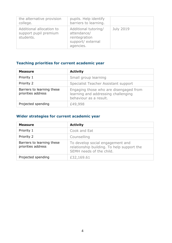| the alternative provision<br>college.                          | pupils. Help identify<br>barriers to learning.                                         |                  |
|----------------------------------------------------------------|----------------------------------------------------------------------------------------|------------------|
| Additional allocation to<br>support pupil premium<br>students. | Additional tutoring/<br>attendance/<br>reintegration<br>support/ external<br>agencies. | <b>July 2019</b> |

# **Teaching priorities for current academic year**

| <b>Measure</b>                                   | <b>Activity</b>                                                                                         |
|--------------------------------------------------|---------------------------------------------------------------------------------------------------------|
| Priority 1                                       | Small group learning                                                                                    |
| Priority 2                                       | Specialist Teacher Assistant support                                                                    |
| Barriers to learning these<br>priorities address | Engaging those who are disengaged from<br>learning and addressing challenging<br>behaviour as a result. |
| Projected spending                               | £49,998                                                                                                 |

## **Wider strategies for current academic year**

| <b>Measure</b>                                   | <b>Activity</b>                                                                                            |
|--------------------------------------------------|------------------------------------------------------------------------------------------------------------|
| Priority 1                                       | Cook and Eat                                                                                               |
| Priority 2                                       | Counselling                                                                                                |
| Barriers to learning these<br>priorities address | To develop social engagement and<br>relationship building. To help support the<br>SEMH needs of the child. |
| Projected spending                               | £32,169.61                                                                                                 |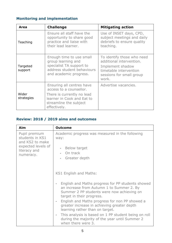## **Monitoring and implementation**

| Area                | <b>Challenge</b>                                                                                                                                           | <b>Mitigating action</b>                                                                                                                  |
|---------------------|------------------------------------------------------------------------------------------------------------------------------------------------------------|-------------------------------------------------------------------------------------------------------------------------------------------|
| Teaching            | Ensure all staff have the<br>opportunity to share good<br>practice and liaise with<br>their lead learner.                                                  | Use of INSET days, CPD,<br>subject meetings and daily<br>debriefs to ensure quality<br>teaching.                                          |
| Targeted<br>support | Enough time to use small<br>group learning and<br>specialist TA support to<br>address student behaviours<br>and academic progress.                         | To identify those who need<br>additional intervention.<br>Implement shadow<br>timetable intervention<br>sessions for small group<br>work. |
| Wider<br>strategies | Ensuring all centres have<br>access to a counsellor.<br>There is currently no lead<br>learner in Cook and Eat to<br>streamline the subject<br>effectively. | Advertise vacancies.                                                                                                                      |

## **Review: 2018 / 2019 aims and outcomes**

| Aim                                                                                                    | <b>Outcome</b>                                                                                                                                                                                                                                                                                                                   |
|--------------------------------------------------------------------------------------------------------|----------------------------------------------------------------------------------------------------------------------------------------------------------------------------------------------------------------------------------------------------------------------------------------------------------------------------------|
| Pupil premium<br>students in KS1<br>and KS2 to make<br>expected levels of<br>literacy and<br>numeracy. | Academic progress was measured in the following<br>way:<br>Below target<br>On track<br>Greater depth                                                                                                                                                                                                                             |
|                                                                                                        | KS1 English and Maths:<br>English and Maths progress for PP students showed<br>an increase from Autumn 1 to Summer 2. By<br>Summer 2 PP students were now achieving on<br>target in their progress.<br>English and Maths progress for non PP showed a<br>$\overline{\phantom{a}}$<br>greater increase in achieving greater depth |
|                                                                                                        | learning rather than on target.<br>This analysis is based on 1 PP student being on roll<br>during the majority of the year until Summer 2<br>when there were 3.                                                                                                                                                                  |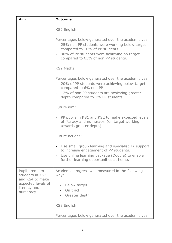| Aim                                                                                       | <b>Outcome</b>                                                                                                                                                                                                                |
|-------------------------------------------------------------------------------------------|-------------------------------------------------------------------------------------------------------------------------------------------------------------------------------------------------------------------------------|
|                                                                                           | <b>KS2 English</b>                                                                                                                                                                                                            |
|                                                                                           | Percentages below generated over the academic year:<br>25% non PP students were working below target<br>compared to 10% of PP students.<br>90% of PP students were achieving on target<br>compared to 63% of non PP students. |
|                                                                                           | <b>KS2 Maths</b>                                                                                                                                                                                                              |
|                                                                                           | Percentages below generated over the academic year:<br>20% of PP students were achieving below target<br>compared to 6% non PP<br>12% of non PP students are achieving greater<br>depth compared to 2% PP students.           |
|                                                                                           | Future aim:                                                                                                                                                                                                                   |
|                                                                                           | PP pupils in KS1 and KS2 to make expected levels<br>of literacy and numeracy. (on target working<br>towards greater depth)                                                                                                    |
|                                                                                           | Future actions:                                                                                                                                                                                                               |
|                                                                                           | Use small group learning and specialist TA support<br>to increase engagement of PP students.<br>Use online learning package (Doddle) to enable<br>$\overline{\phantom{a}}$<br>further learning opportunities at home.         |
| Pupil premium<br>students in KS3<br>and KS4 to make<br>expected levels of<br>literacy and | Academic progress was measured in the following<br>way:<br>Below target                                                                                                                                                       |
| numeracy.                                                                                 | On track<br>Greater depth                                                                                                                                                                                                     |
|                                                                                           | <b>KS3 English</b>                                                                                                                                                                                                            |
|                                                                                           | Percentages below generated over the academic year:                                                                                                                                                                           |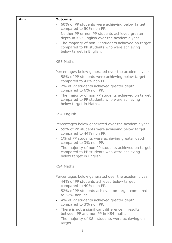| Aim | <b>Outcome</b>                                                                                                                                                                                                                                                                                                                                                                                                                                                             |
|-----|----------------------------------------------------------------------------------------------------------------------------------------------------------------------------------------------------------------------------------------------------------------------------------------------------------------------------------------------------------------------------------------------------------------------------------------------------------------------------|
|     | 60% of PP students were achieving below target<br>compared to 50% non PP.<br>Neither PP or non PP students achieved greater<br>$\overline{\phantom{a}}$<br>depth in KS3 English over the academic year.<br>The majority of non PP students achieved on target<br>$\overline{\phantom{a}}$<br>compared to PP students who were achieving<br>below target in English.                                                                                                        |
|     | <b>KS3 Maths</b>                                                                                                                                                                                                                                                                                                                                                                                                                                                           |
|     | Percentages below generated over the academic year:<br>58% of PP students were achieving below target<br>compared to 41% non PP.<br>2% of PP students achieved greater depth<br>$\blacksquare$<br>compared to 6% non PP.<br>The majority of non PP students achieved on target<br>$\blacksquare$<br>compared to PP students who were achieving<br>below target in Maths.                                                                                                   |
|     | <b>KS4 English</b>                                                                                                                                                                                                                                                                                                                                                                                                                                                         |
|     | Percentages below generated over the academic year:<br>59% of PP students were achieving below target<br>$\blacksquare$<br>compared to 44% non PP.<br>1% of PP students were achieving greater depth<br>compared to 3% non PP.<br>The majority of non PP students achieved on target<br>compared to PP students who were achieving<br>below target in English.                                                                                                             |
|     | <b>KS4 Maths</b>                                                                                                                                                                                                                                                                                                                                                                                                                                                           |
|     | Percentages below generated over the academic year:<br>44% of PP students achieved below target<br>compared to 40% non PP.<br>52% of PP students achieved on target compared<br>to 57% non PP.<br>4% of PP students achieved greater depth<br>$\overline{\phantom{a}}$<br>compared to 3% non PP.<br>There is not a significant difference in results<br>between PP and non PP in KS4 maths.<br>The majority of KS4 students were achieving on<br>$\blacksquare$<br>target. |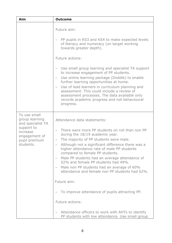| Aim                                                                                                                          | <b>Outcome</b>                                                                                                                                                                                                                                                                                                                                                                                                                                                                                                                                                                                                                                      |
|------------------------------------------------------------------------------------------------------------------------------|-----------------------------------------------------------------------------------------------------------------------------------------------------------------------------------------------------------------------------------------------------------------------------------------------------------------------------------------------------------------------------------------------------------------------------------------------------------------------------------------------------------------------------------------------------------------------------------------------------------------------------------------------------|
|                                                                                                                              | Future aim:<br>PP pupils in KS3 and KS4 to make expected levels<br>$\overline{\phantom{0}}$<br>of literacy and numeracy (on target working<br>towards greater depth).                                                                                                                                                                                                                                                                                                                                                                                                                                                                               |
|                                                                                                                              | Future actions:<br>Use small group learning and specialist TA support<br>$\qquad \qquad \blacksquare$<br>to increase engagement of PP students.<br>Use online learning package (Doddle) to enable<br>$\overline{\phantom{0}}$<br>further learning opportunities at home.<br>Use of lead learners in curriculum planning and<br>assessment. This could include a review of<br>assessment processes. The data available only<br>records academic progress and not behavioural<br>progress.                                                                                                                                                            |
| To use small<br>group learning<br>and specialist TA<br>support to<br>increase<br>engagement of<br>pupil premium<br>students. | Attendance data statements:<br>There were more PP students on roll than non PP<br>$\overline{\phantom{0}}$<br>during the 18/19 academic year.<br>The majority of PP students were male.<br>$\overline{\phantom{a}}$<br>Although not a significant difference there was a<br>higher attendance rate of male PP students<br>compared to female PP students.<br>Male PP students had an average attendance of<br>۰<br>52% and female PP students had 49%.<br>Male non PP students had an average of 60%<br>$\overline{\phantom{a}}$<br>attendance and female non PP students had 62%.<br>Future aim:<br>To improve attendance of pupils attracting PP. |
|                                                                                                                              | Future actions:<br>Attendance officers to work with AHTs to identify<br>$\overline{\phantom{a}}$<br>PP students with low attendance. Use small group                                                                                                                                                                                                                                                                                                                                                                                                                                                                                                |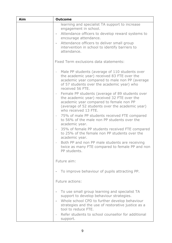| Aim | <b>Outcome</b>                                                                                                                                                                                                                                                                                                                                                                                                                                                                                                                                                                                                      |
|-----|---------------------------------------------------------------------------------------------------------------------------------------------------------------------------------------------------------------------------------------------------------------------------------------------------------------------------------------------------------------------------------------------------------------------------------------------------------------------------------------------------------------------------------------------------------------------------------------------------------------------|
|     | learning and specialist TA support to increase<br>engagement in school.<br>Attendance officers to develop reward systems to<br>$\sim$<br>encourage attendance.<br>Attendance officers to deliver small group<br>$\sim 10$<br>intervention in school to identify barriers to<br>attendance.                                                                                                                                                                                                                                                                                                                          |
|     | Fixed Term exclusions data statements:                                                                                                                                                                                                                                                                                                                                                                                                                                                                                                                                                                              |
|     | Male PP students (average of 110 students over<br>$\overline{\phantom{a}}$<br>the academic year) received 83 FTE over the<br>academic year compared to male non PP (average<br>of 57 students over the academic year) who<br>received 56 FTE.<br>Female PP students (average of 89 students over<br>$\sim$<br>the academic year) received 32 FTE over the<br>academic year compared to female non PP<br>(average of 52 students over the academic year)<br>who received 13 FTE.<br>75% of male PP students received FTE compared<br>$\sim 10^{-1}$<br>to 56% of the male non PP students over the<br>academic year. |
|     | 35% of female PP students received FTE compared<br>$\sim 100$<br>to 25% of the female non PP students over the<br>academic year.                                                                                                                                                                                                                                                                                                                                                                                                                                                                                    |
|     | Both PP and non PP male students are receiving<br>$\bar{ }$<br>twice as many FTE compared to female PP and non<br>PP students.                                                                                                                                                                                                                                                                                                                                                                                                                                                                                      |
|     | Future aim:                                                                                                                                                                                                                                                                                                                                                                                                                                                                                                                                                                                                         |
|     | To improve behaviour of pupils attracting PP.                                                                                                                                                                                                                                                                                                                                                                                                                                                                                                                                                                       |
|     | Future actions:                                                                                                                                                                                                                                                                                                                                                                                                                                                                                                                                                                                                     |
|     | To use small group learning and specialist TA<br>$\overline{\phantom{0}}$<br>support to develop behaviour strategies.                                                                                                                                                                                                                                                                                                                                                                                                                                                                                               |
|     | Whole school CPD to further develop behaviour<br>$\overline{\phantom{a}}$<br>strategies and the use of restorative justice as a<br>tool to reduce FTE.                                                                                                                                                                                                                                                                                                                                                                                                                                                              |
|     | Refer students to school counsellor for additional<br>$\overline{\phantom{a}}$<br>support.                                                                                                                                                                                                                                                                                                                                                                                                                                                                                                                          |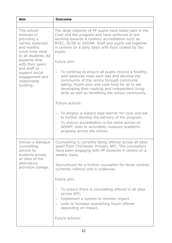| Aim                                                                                                                                                                                                                                           | <b>Outcome</b>                                                                                                                                                                                                                                                                                                                              |
|-----------------------------------------------------------------------------------------------------------------------------------------------------------------------------------------------------------------------------------------------|---------------------------------------------------------------------------------------------------------------------------------------------------------------------------------------------------------------------------------------------------------------------------------------------------------------------------------------------|
|                                                                                                                                                                                                                                               |                                                                                                                                                                                                                                                                                                                                             |
| This school<br>believes in<br>providing a<br>varied, balanced<br>and healthy<br>lunch-time meal<br>to all students. All<br>students dine<br>with their peers<br>and staff to<br>support social<br>engagement and<br>relationship<br>building. | The large majority of PP pupils have taken part in the<br>Cook and Eat program and have achieved or are<br>working towards a cookery accreditation such as<br>BTEC, GCSE or ASDAN. Staff and pupils eat together<br>in centres on a daily basis with food cooked by the<br>pupils.                                                          |
|                                                                                                                                                                                                                                               | Future aim:                                                                                                                                                                                                                                                                                                                                 |
|                                                                                                                                                                                                                                               | To continue to ensure all pupils receive a healthy,<br>$\qquad \qquad \blacksquare$<br>well-balanced meal each day and develop the<br>community of the centre through communal<br>eating. Pupils plan and cook food for all to eat<br>developing their cooking and independent living<br>skills as well as benefiting the school community. |
|                                                                                                                                                                                                                                               | Future actions:                                                                                                                                                                                                                                                                                                                             |
|                                                                                                                                                                                                                                               | To employ a subject lead learner for cook and eat<br>$\overline{\phantom{a}}$<br>to further develop the delivery of the program.<br>To ensure accreditation is the same across all<br>$\blacksquare$<br>WSAPC sites to accurately measure academic<br>progress across the school.                                                           |
| Deliver a dialogue<br>counselling<br>service to<br>students across<br>all sites of the<br>alternative<br>provision college.                                                                                                                   | Counselling is currently being offered across all sites<br>apart from Chichester Primary APC. The counsellors<br>have been engaging with PP students in centre on a<br>weekly basis.                                                                                                                                                        |
|                                                                                                                                                                                                                                               | Recruitment for a further counsellor for those centres<br>currently without one is underway.                                                                                                                                                                                                                                                |
|                                                                                                                                                                                                                                               | Future aim:                                                                                                                                                                                                                                                                                                                                 |
|                                                                                                                                                                                                                                               | To ensure there is counselling offered in all sites<br>$\overline{\phantom{a}}$<br>across APC.<br>Implement a system to monitor impact.<br>$\blacksquare$<br>Look to increase counselling hours offered<br>$\blacksquare$<br>depending on impact.                                                                                           |
|                                                                                                                                                                                                                                               | Future actions:                                                                                                                                                                                                                                                                                                                             |